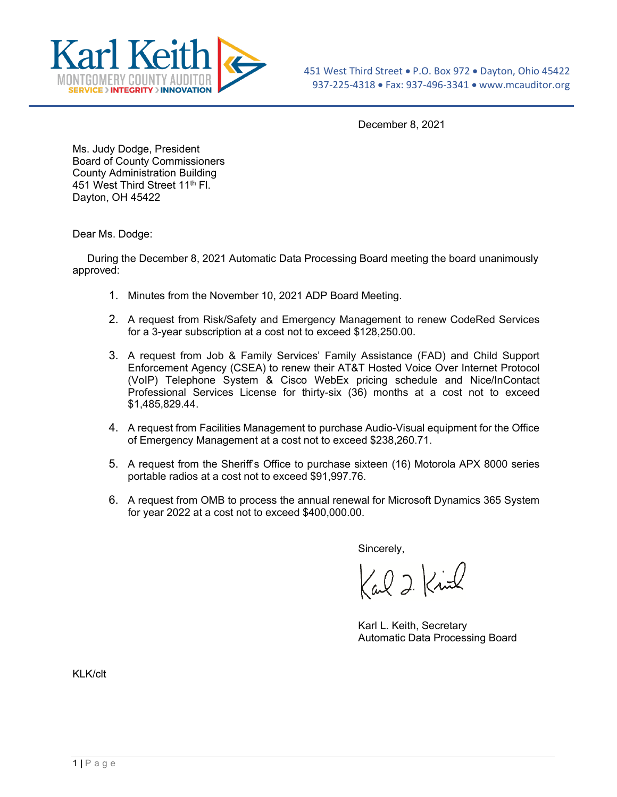

December 8, 2021

Ms. Judy Dodge, President Board of County Commissioners County Administration Building 451 West Third Street 11<sup>th</sup> Fl. Dayton, OH 45422

Dear Ms. Dodge:

 During the December 8, 2021 Automatic Data Processing Board meeting the board unanimously approved:

- 1. Minutes from the November 10, 2021 ADP Board Meeting.
- 2. A request from Risk/Safety and Emergency Management to renew CodeRed Services for a 3-year subscription at a cost not to exceed \$128,250.00.
- 3. A request from Job & Family Services' Family Assistance (FAD) and Child Support Enforcement Agency (CSEA) to renew their AT&T Hosted Voice Over Internet Protocol (VoIP) Telephone System & Cisco WebEx pricing schedule and Nice/InContact Professional Services License for thirty-six (36) months at a cost not to exceed \$1,485,829.44.
- 4. A request from Facilities Management to purchase Audio-Visual equipment for the Office of Emergency Management at a cost not to exceed \$238,260.71.
- 5. A request from the Sheriff's Office to purchase sixteen (16) Motorola APX 8000 series portable radios at a cost not to exceed \$91,997.76.
- 6. A request from OMB to process the annual renewal for Microsoft Dynamics 365 System for year 2022 at a cost not to exceed \$400,000.00.

Sincerely,

Carl 2 Kind

Karl L. Keith, Secretary Automatic Data Processing Board

KLK/clt